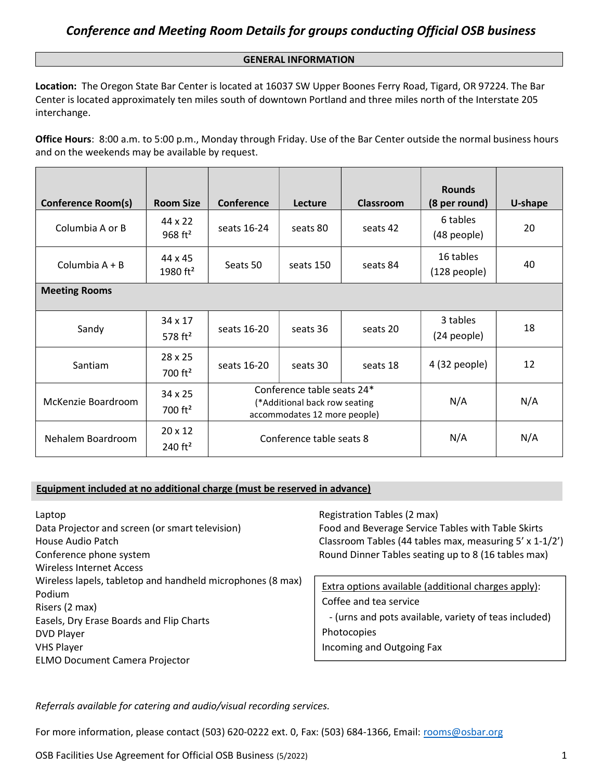#### GENERAL INFORMATION

Location: The Oregon State Bar Center is located at 16037 SW Upper Boones Ferry Road, Tigard, OR 97224. The Bar Center is located approximately ten miles south of downtown Portland and three miles north of the Interstate 205 interchange.

Office Hours: 8:00 a.m. to 5:00 p.m., Monday through Friday. Use of the Bar Center outside the normal business hours and on the weekends may be available by request.

| <b>Conference Room(s)</b> | <b>Room Size</b>                        | <b>Conference</b>                                                                           | Lecture   | <b>Classroom</b> | <b>Rounds</b><br>(8 per round) | U-shape |
|---------------------------|-----------------------------------------|---------------------------------------------------------------------------------------------|-----------|------------------|--------------------------------|---------|
| Columbia A or B           | 44 x 22<br>$968 \text{ ft}^2$           | seats 16-24                                                                                 | seats 80  | seats 42         | 6 tables<br>(48 people)        | 20      |
| Columbia $A + B$          | 44 x 45<br>1980 $ft^2$                  | Seats 50                                                                                    | seats 150 | seats 84         | 16 tables<br>(128 people)      | 40      |
| <b>Meeting Rooms</b>      |                                         |                                                                                             |           |                  |                                |         |
| Sandy                     | 34 x 17<br>578 $ft^2$                   | seats 16-20                                                                                 | seats 36  | seats 20         | 3 tables<br>(24 people)        | 18      |
| <b>Santiam</b>            | $28 \times 25$<br>$700$ ft <sup>2</sup> | seats 16-20                                                                                 | seats 30  | seats 18         | 4 (32 people)                  | 12      |
| McKenzie Boardroom        | 34 x 25<br>700 $ft^2$                   | Conference table seats 24*<br>(*Additional back row seating<br>accommodates 12 more people) |           |                  | N/A                            | N/A     |
| Nehalem Boardroom         | $20 \times 12$<br>240 $ft2$             | Conference table seats 8                                                                    |           | N/A              | N/A                            |         |

#### Equipment included at no additional charge (must be reserved in advance)

| Laptop                                                     | Registration Tables (2 max)                             |  |
|------------------------------------------------------------|---------------------------------------------------------|--|
| Data Projector and screen (or smart television)            | Food and Beverage Service Tables with Table Skirts      |  |
| House Audio Patch                                          | Classroom Tables (44 tables max, measuring 5' x 1-1/2') |  |
| Conference phone system                                    | Round Dinner Tables seating up to 8 (16 tables max)     |  |
| Wireless Internet Access                                   |                                                         |  |
| Wireless lapels, tabletop and handheld microphones (8 max) | Extra options available (additional charges apply):     |  |
| Podium                                                     |                                                         |  |
| Risers (2 max)                                             | Coffee and tea service                                  |  |
| Easels, Dry Erase Boards and Flip Charts                   | - (urns and pots available, variety of teas included)   |  |
| <b>DVD Player</b>                                          | Photocopies                                             |  |
| <b>VHS Player</b>                                          | Incoming and Outgoing Fax                               |  |
| <b>ELMO Document Camera Projector</b>                      |                                                         |  |

Referrals available for catering and audio/visual recording services.

For more information, please contact (503) 620-0222 ext. 0, Fax: (503) 684-1366, Email: rooms@osbar.org

OSB Facilities Use Agreement for Official OSB Business (5/2022) 1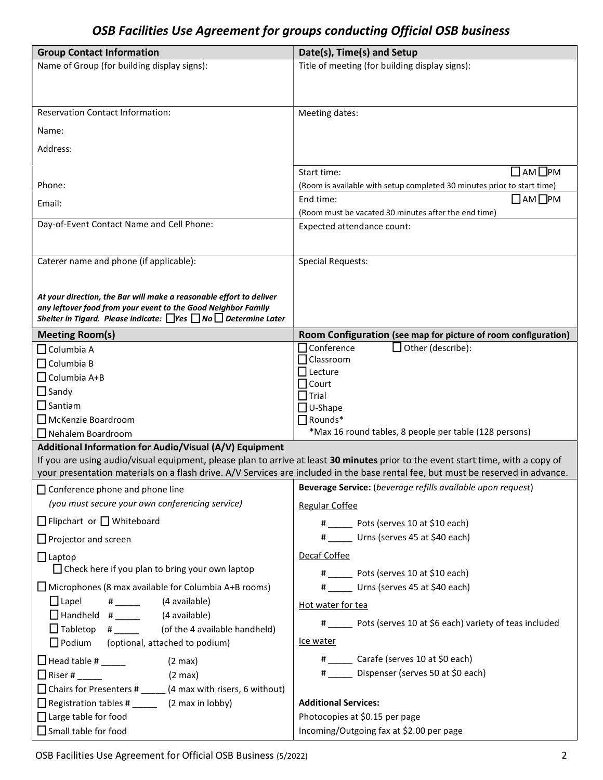### OSB Facilities Use Agreement for groups conducting Official OSB business

| <b>Group Contact Information</b>                                                | Date(s), Time(s) and Setup                                                                                                       |  |  |  |
|---------------------------------------------------------------------------------|----------------------------------------------------------------------------------------------------------------------------------|--|--|--|
| Name of Group (for building display signs):                                     | Title of meeting (for building display signs):                                                                                   |  |  |  |
|                                                                                 |                                                                                                                                  |  |  |  |
|                                                                                 |                                                                                                                                  |  |  |  |
| <b>Reservation Contact Information:</b>                                         | Meeting dates:                                                                                                                   |  |  |  |
| Name:                                                                           |                                                                                                                                  |  |  |  |
| Address:                                                                        |                                                                                                                                  |  |  |  |
|                                                                                 |                                                                                                                                  |  |  |  |
|                                                                                 | □ АМ□РМ<br>Start time:                                                                                                           |  |  |  |
| Phone:                                                                          | (Room is available with setup completed 30 minutes prior to start time)                                                          |  |  |  |
| Email:                                                                          | $\Box$ AM $\Box$ PM<br>End time:                                                                                                 |  |  |  |
| Day-of-Event Contact Name and Cell Phone:                                       | (Room must be vacated 30 minutes after the end time)                                                                             |  |  |  |
|                                                                                 | Expected attendance count:                                                                                                       |  |  |  |
|                                                                                 |                                                                                                                                  |  |  |  |
| Caterer name and phone (if applicable):                                         | <b>Special Requests:</b>                                                                                                         |  |  |  |
|                                                                                 |                                                                                                                                  |  |  |  |
| At your direction, the Bar will make a reasonable effort to deliver             |                                                                                                                                  |  |  |  |
| any leftover food from your event to the Good Neighbor Family                   |                                                                                                                                  |  |  |  |
| Shelter in Tigard. Please indicate: $\Box$ Yes $\Box$ No $\Box$ Determine Later |                                                                                                                                  |  |  |  |
| <b>Meeting Room(s)</b>                                                          | Room Configuration (see map for picture of room configuration)<br>Other (describe):<br>$\Box$ Conference                         |  |  |  |
| $\square$ Columbia A                                                            | $\Box$ Classroom                                                                                                                 |  |  |  |
| $\square$ Columbia B<br>$\Box$ Columbia A+B                                     | $\Box$ Lecture                                                                                                                   |  |  |  |
| $\Box$ Sandy                                                                    | $\Box$ Court                                                                                                                     |  |  |  |
| $\Box$ Santiam                                                                  | $\square$ Trial                                                                                                                  |  |  |  |
| $\Box$ McKenzie Boardroom                                                       | $\Box$ U-Shape<br>$\Box$ Rounds*                                                                                                 |  |  |  |
| $\Box$ Nehalem Boardroom                                                        | *Max 16 round tables, 8 people per table (128 persons)                                                                           |  |  |  |
| Additional Information for Audio/Visual (A/V) Equipment                         |                                                                                                                                  |  |  |  |
|                                                                                 | If you are using audio/visual equipment, please plan to arrive at least 30 minutes prior to the event start time, with a copy of |  |  |  |
|                                                                                 | your presentation materials on a flash drive. A/V Services are included in the base rental fee, but must be reserved in advance. |  |  |  |
| $\Box$ Conference phone and phone line                                          | Beverage Service: (beverage refills available upon request)                                                                      |  |  |  |
| (you must secure your own conferencing service)                                 | Regular Coffee                                                                                                                   |  |  |  |
| $\Box$ Flipchart or $\Box$ Whiteboard                                           | # Pots (serves 10 at \$10 each)                                                                                                  |  |  |  |
| $\Box$ Projector and screen                                                     | # _____ Urns (serves 45 at \$40 each)                                                                                            |  |  |  |
| $\Box$ Laptop                                                                   | Decaf Coffee                                                                                                                     |  |  |  |
| $\Box$ Check here if you plan to bring your own laptop                          | # Pots (serves 10 at \$10 each)                                                                                                  |  |  |  |
| $\Box$ Microphones (8 max available for Columbia A+B rooms)                     | # Urns (serves 45 at \$40 each)                                                                                                  |  |  |  |
| $\Box$ Lapel<br># ______ (4 available)                                          |                                                                                                                                  |  |  |  |
| $\Box$ Handheld #_____<br>(4 available)                                         | Hot water for tea                                                                                                                |  |  |  |
| $\Box$ Tabletop # __________ (of the 4 available handheld)                      | # _____ Pots (serves 10 at \$6 each) variety of teas included                                                                    |  |  |  |
| $\Box$ Podium (optional, attached to podium)                                    | Ice water                                                                                                                        |  |  |  |
| $\Box$ Head table # _____<br>$(2 \text{ max})$                                  | # ______ Carafe (serves 10 at \$0 each)                                                                                          |  |  |  |
| $\Box$ Riser # _____<br>$(2 \text{ max})$                                       | # _____ Dispenser (serves 50 at \$0 each)                                                                                        |  |  |  |
| $\Box$ Chairs for Presenters # _______ (4 max with risers, 6 without)           |                                                                                                                                  |  |  |  |
|                                                                                 | <b>Additional Services:</b>                                                                                                      |  |  |  |
| $\Box$ Large table for food                                                     | Photocopies at \$0.15 per page                                                                                                   |  |  |  |
| $\Box$ Small table for food                                                     | Incoming/Outgoing fax at \$2.00 per page                                                                                         |  |  |  |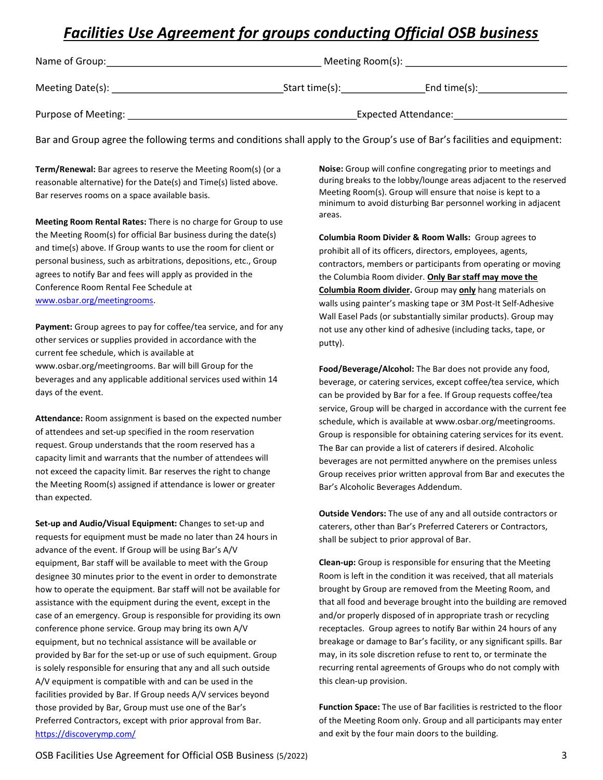## Facilities Use Agreement for groups conducting Official OSB business

| Name of Group:                            | Meeting Room(s):<br>the contract of the contract of the contract of the contract of the contract of |  |  |  |  |
|-------------------------------------------|-----------------------------------------------------------------------------------------------------|--|--|--|--|
| Meeting Date(s): $\overline{\phantom{a}}$ | Start time(s):<br>End time $(s)$ :                                                                  |  |  |  |  |
| Purpose of Meeting:                       | Expected Attendance:                                                                                |  |  |  |  |

Bar and Group agree the following terms and conditions shall apply to the Group's use of Bar's facilities and equipment:

Term/Renewal: Bar agrees to reserve the Meeting Room(s) (or a reasonable alternative) for the Date(s) and Time(s) listed above. Bar reserves rooms on a space available basis.

Meeting Room Rental Rates: There is no charge for Group to use the Meeting Room(s) for official Bar business during the date(s) and time(s) above. If Group wants to use the room for client or personal business, such as arbitrations, depositions, etc., Group agrees to notify Bar and fees will apply as provided in the Conference Room Rental Fee Schedule at www.osbar.org/meetingrooms.

Payment: Group agrees to pay for coffee/tea service, and for any other services or supplies provided in accordance with the current fee schedule, which is available at www.osbar.org/meetingrooms. Bar will bill Group for the beverages and any applicable additional services used within 14 days of the event.

Attendance: Room assignment is based on the expected number of attendees and set-up specified in the room reservation request. Group understands that the room reserved has a capacity limit and warrants that the number of attendees will not exceed the capacity limit. Bar reserves the right to change the Meeting Room(s) assigned if attendance is lower or greater than expected.

Set-up and Audio/Visual Equipment: Changes to set-up and requests for equipment must be made no later than 24 hours in advance of the event. If Group will be using Bar's A/V equipment, Bar staff will be available to meet with the Group designee 30 minutes prior to the event in order to demonstrate how to operate the equipment. Bar staff will not be available for assistance with the equipment during the event, except in the case of an emergency. Group is responsible for providing its own conference phone service. Group may bring its own A/V equipment, but no technical assistance will be available or provided by Bar for the set-up or use of such equipment. Group is solely responsible for ensuring that any and all such outside A/V equipment is compatible with and can be used in the facilities provided by Bar. If Group needs A/V services beyond those provided by Bar, Group must use one of the Bar's Preferred Contractors, except with prior approval from Bar. https://discoverymp.com/

Noise: Group will confine congregating prior to meetings and during breaks to the lobby/lounge areas adjacent to the reserved Meeting Room(s). Group will ensure that noise is kept to a minimum to avoid disturbing Bar personnel working in adjacent areas.

Columbia Room Divider & Room Walls: Group agrees to prohibit all of its officers, directors, employees, agents, contractors, members or participants from operating or moving the Columbia Room divider. Only Bar staff may move the Columbia Room divider. Group may only hang materials on walls using painter's masking tape or 3M Post-It Self-Adhesive Wall Easel Pads (or substantially similar products). Group may not use any other kind of adhesive (including tacks, tape, or putty).

Food/Beverage/Alcohol: The Bar does not provide any food, beverage, or catering services, except coffee/tea service, which can be provided by Bar for a fee. If Group requests coffee/tea service, Group will be charged in accordance with the current fee schedule, which is available at www.osbar.org/meetingrooms. Group is responsible for obtaining catering services for its event. The Bar can provide a list of caterers if desired. Alcoholic beverages are not permitted anywhere on the premises unless Group receives prior written approval from Bar and executes the Bar's Alcoholic Beverages Addendum.

Outside Vendors: The use of any and all outside contractors or caterers, other than Bar's Preferred Caterers or Contractors, shall be subject to prior approval of Bar.

Clean-up: Group is responsible for ensuring that the Meeting Room is left in the condition it was received, that all materials brought by Group are removed from the Meeting Room, and that all food and beverage brought into the building are removed and/or properly disposed of in appropriate trash or recycling receptacles. Group agrees to notify Bar within 24 hours of any breakage or damage to Bar's facility, or any significant spills. Bar may, in its sole discretion refuse to rent to, or terminate the recurring rental agreements of Groups who do not comply with this clean-up provision.

Function Space: The use of Bar facilities is restricted to the floor of the Meeting Room only. Group and all participants may enter and exit by the four main doors to the building.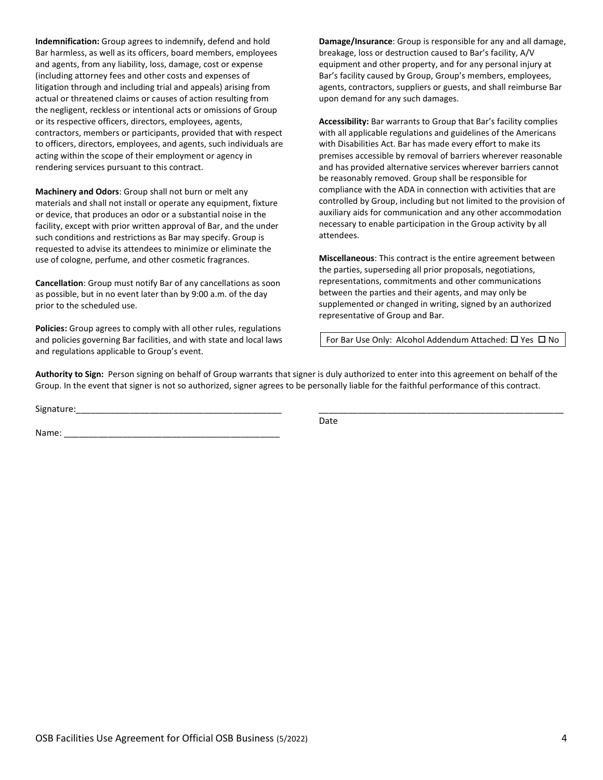Indemnification: Group agrees to indemnify, defend and hold Bar harmless, as well as its officers, board members, employees and agents, from any liability, loss, damage, cost or expense (including attorney fees and other costs and expenses of litigation through and including trial and appeals) arising from actual or threatened claims or causes of action resulting from the negligent, reckless or intentional acts or omissions of Group or its respective officers, directors, employees, agents, contractors, members or participants, provided that with respect to officers, directors, employees, and agents, such individuals are acting within the scope of their employment or agency in rendering services pursuant to this contract.

Machinery and Odors: Group shall not burn or melt any materials and shall not install or operate any equipment, fixture or device, that produces an odor or a substantial noise in the facility, except with prior written approval of Bar, and the under such conditions and restrictions as Bar may specify. Group is requested to advise its attendees to minimize or eliminate the use of cologne, perfume, and other cosmetic fragrances.

Cancellation: Group must notify Bar of any cancellations as soon as possible, but in no event later than by 9:00 a.m. of the day prior to the scheduled use.

Policies: Group agrees to comply with all other rules, regulations and policies governing Bar facilities, and with state and local laws and regulations applicable to Group's event.

Damage/Insurance: Group is responsible for any and all damage, breakage, loss or destruction caused to Bar's facility, A/V equipment and other property, and for any personal injury at Bar's facility caused by Group, Group's members, employees, agents, contractors, suppliers or guests, and shall reimburse Bar upon demand for any such damages.

Accessibility: Bar warrants to Group that Bar's facility complies with all applicable regulations and guidelines of the Americans with Disabilities Act. Bar has made every effort to make its premises accessible by removal of barriers wherever reasonable and has provided alternative services wherever barriers cannot be reasonably removed. Group shall be responsible for compliance with the ADA in connection with activities that are controlled by Group, including but not limited to the provision of auxiliary aids for communication and any other accommodation necessary to enable participation in the Group activity by all attendees.

Miscellaneous: This contract is the entire agreement between the parties, superseding all prior proposals, negotiations, representations, commitments and other communications between the parties and their agents, and may only be supplemented or changed in writing, signed by an authorized representative of Group and Bar.

For Bar Use Only: Alcohol Addendum Attached:  $\square$  Yes  $\square$  No

Authority to Sign: Person signing on behalf of Group warrants that signer is duly authorized to enter into this agreement on behalf of the Group. In the event that signer is not so authorized, signer agrees to be personally liable for the faithful performance of this contract.

Signature:\_\_\_\_\_\_\_\_\_\_\_\_\_\_\_\_\_\_\_\_\_\_\_\_\_\_\_\_\_\_\_\_\_\_\_\_\_\_\_\_\_\_ \_\_\_\_\_\_\_\_\_\_\_\_\_\_\_\_\_\_\_\_\_\_\_\_\_\_\_\_\_\_\_\_\_\_\_\_\_\_\_\_\_\_\_\_\_\_\_\_\_\_

Name:

**Date** and the contract of the contract of the contract of the contract of the contract of the contract of the contract of the contract of the contract of the contract of the contract of the contract of the contract of the